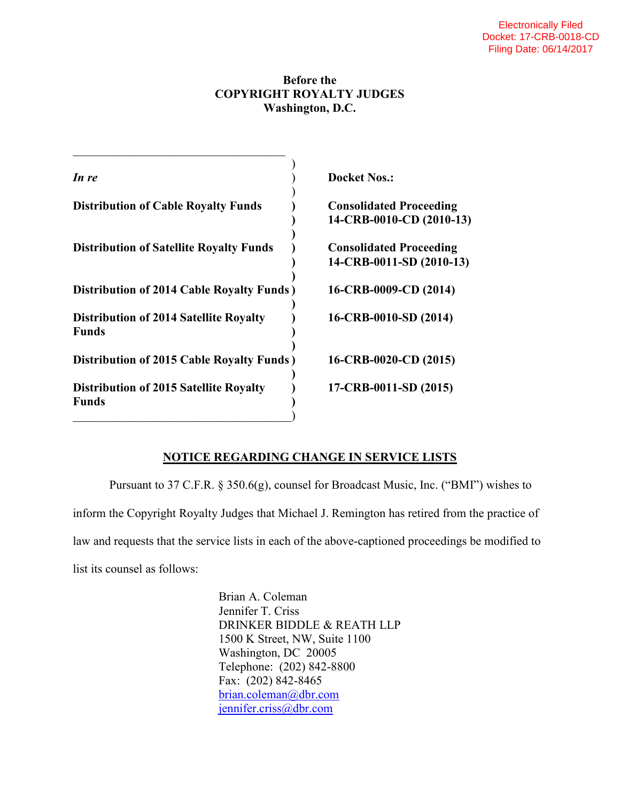## **Before the COPYRIGHT ROYALTY JUDGES Washington, D.C.**

| In re                                                  | <b>Docket Nos.:</b>                                        |
|--------------------------------------------------------|------------------------------------------------------------|
| <b>Distribution of Cable Royalty Funds</b>             | <b>Consolidated Proceeding</b><br>14-CRB-0010-CD (2010-13) |
| <b>Distribution of Satellite Royalty Funds</b>         | <b>Consolidated Proceeding</b><br>14-CRB-0011-SD (2010-13) |
| <b>Distribution of 2014 Cable Royalty Funds)</b>       | 16-CRB-0009-CD (2014)                                      |
| <b>Distribution of 2014 Satellite Royalty</b><br>Funds | 16-CRB-0010-SD (2014)                                      |
| Distribution of 2015 Cable Royalty Funds)              | 16-CRB-0020-CD (2015)                                      |
| <b>Distribution of 2015 Satellite Royalty</b><br>Funds | 17-CRB-0011-SD (2015)                                      |
|                                                        |                                                            |

## **NOTICE REGARDING CHANGE IN SERVICE LISTS**

 Pursuant to 37 C.F.R. § 350.6(g), counsel for Broadcast Music, Inc. ("BMI") wishes to inform the Copyright Royalty Judges that Michael J. Remington has retired from the practice of law and requests that the service lists in each of the above-captioned proceedings be modified to list its counsel as follows:

> Brian A. Coleman Jennifer T. Criss DRINKER BIDDLE & REATH LLP 1500 K Street, NW, Suite 1100 Washington, DC 20005 Telephone: (202) 842-8800 Fax: (202) 842-8465 brian.coleman@dbr.com jennifer.criss@dbr.com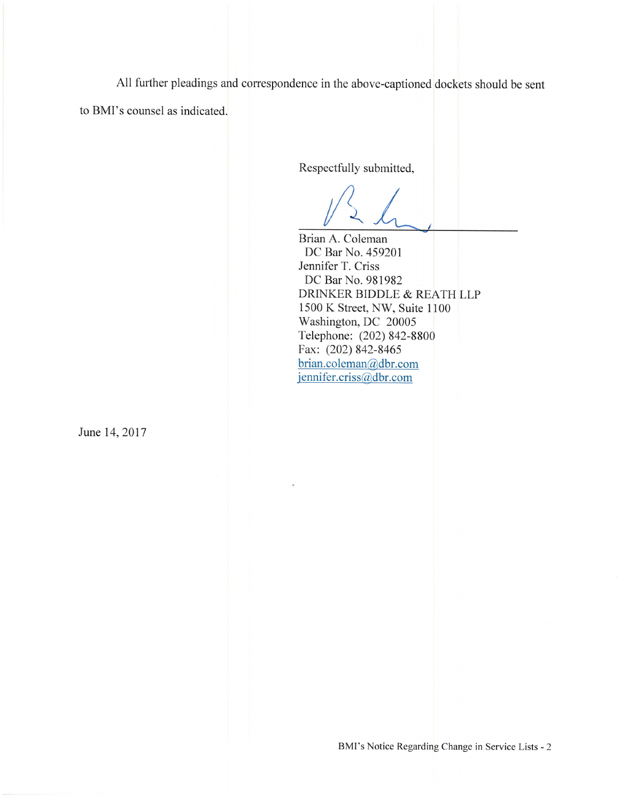All further pleadings and correspondence in the above-captioned dockets should be sent

to BMI's counsel as indicated.

Respectfully submitted,

Brian A. Coleman

DC Bar No. 459201 Jennifer T. Criss DC Bar No. 981982 DRINKER BIDDLE & REATH LLP 1500 K Street, NW, Suite 1100 Washington, DC 20005 Telephone: (202) 842-8800 Fax: (202) 842-8465 brian.coleman@dbr.com jennifer.criss@dbr.com

June 14, 2017

BMI's Notice Regarding Change in Service Lists - 2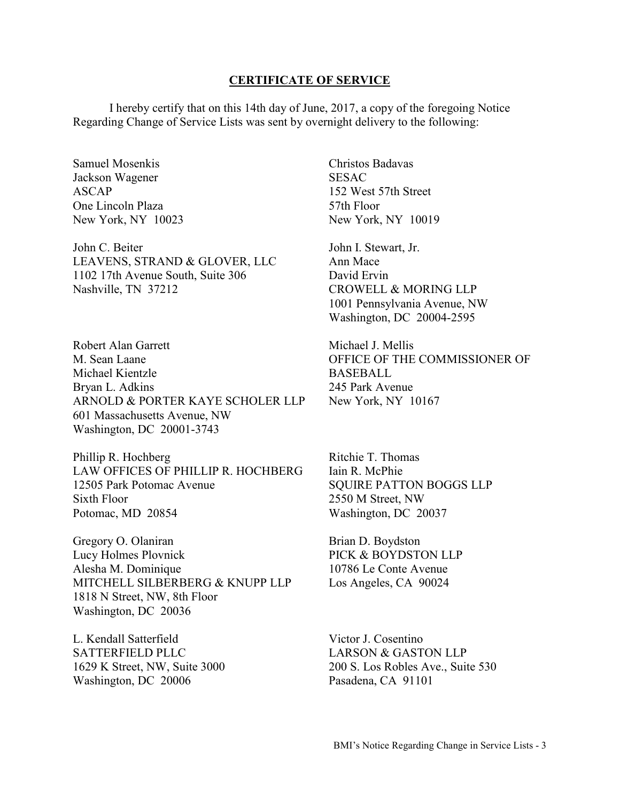## **CERTIFICATE OF SERVICE**

 I hereby certify that on this 14th day of June, 2017, a copy of the foregoing Notice Regarding Change of Service Lists was sent by overnight delivery to the following:

Samuel Mosenkis Jackson Wagener ASCAP One Lincoln Plaza New York, NY 10023

John C. Beiter LEAVENS, STRAND & GLOVER, LLC 1102 17th Avenue South, Suite 306 Nashville, TN 37212

Robert Alan Garrett M. Sean Laane Michael Kientzle Bryan L. Adkins ARNOLD & PORTER KAYE SCHOLER LLP 601 Massachusetts Avenue, NW Washington, DC 20001-3743

Phillip R. Hochberg LAW OFFICES OF PHILLIP R. HOCHBERG 12505 Park Potomac Avenue Sixth Floor Potomac, MD 20854

Gregory O. Olaniran Lucy Holmes Plovnick Alesha M. Dominique MITCHELL SILBERBERG & KNUPP LLP 1818 N Street, NW, 8th Floor Washington, DC 20036

L. Kendall Satterfield SATTERFIELD PLLC 1629 K Street, NW, Suite 3000 Washington, DC 20006

Christos Badavas **SESAC** 152 West 57th Street 57th Floor New York, NY 10019

John I. Stewart, Jr. Ann Mace David Ervin CROWELL & MORING LLP 1001 Pennsylvania Avenue, NW Washington, DC 20004-2595

Michael J. Mellis OFFICE OF THE COMMISSIONER OF BASEBALL 245 Park Avenue New York, NY 10167

Ritchie T. Thomas Iain R. McPhie SQUIRE PATTON BOGGS LLP 2550 M Street, NW Washington, DC 20037

Brian D. Boydston PICK & BOYDSTON LLP 10786 Le Conte Avenue Los Angeles, CA 90024

Victor J. Cosentino LARSON & GASTON LLP 200 S. Los Robles Ave., Suite 530 Pasadena, CA 91101